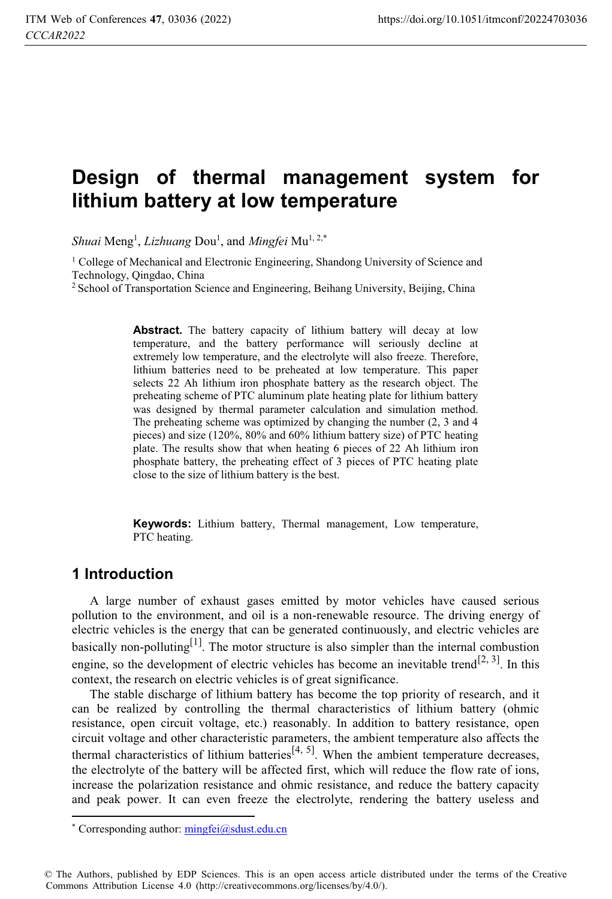# **Design of thermal management system for lithium battery at low temperature**

*Shuai* Meng<sup>1</sup>, *Lizhuang Dou<sup>1</sup>, and Mingfei* Mu<sup>1, 2,\*</sup>

<sup>1</sup> College of Mechanical and Electronic Engineering, Shandong University of Science and Technology, Qingdao, China

<sup>2</sup> School of Transportation Science and Engineering, Beihang University, Beijing, China

**Abstract.** The battery capacity of lithium battery will decay at low temperature, and the battery performance will seriously decline at extremely low temperature, and the electrolyte will also freeze. Therefore, lithium batteries need to be preheated at low temperature. This paper selects 22 Ah lithium iron phosphate battery as the research object. The preheating scheme of PTC aluminum plate heating plate for lithium battery was designed by thermal parameter calculation and simulation method. The preheating scheme was optimized by changing the number (2, 3 and 4 pieces) and size (120%, 80% and 60% lithium battery size) of PTC heating plate. The results show that when heating 6 pieces of 22 Ah lithium iron phosphate battery, the preheating effect of 3 pieces of PTC heating plate close to the size of lithium battery is the best.

**Keywords:** Lithium battery, Thermal management, Low temperature, PTC heating.

### **1 Introduction**

A large number of exhaust gases emitted by motor vehicles have caused serious pollution to the environment, and oil is a non-renewable resource. The driving energy of electric vehicles is the energy that can be generated continuously, and electric vehicles are basically non-polluting<sup>[1]</sup>. The motor structure is also simpler than the internal combustion engine, so the development of electric vehicles has become an inevitable trend<sup>[2, 3]</sup>. In this context, the research on electric vehicles is of great significance.

The stable discharge of lithium battery has become the top priority of research, and it can be realized by controlling the thermal characteristics of lithium battery (ohmic resistance, open circuit voltage, etc.) reasonably. In addition to battery resistance, open circuit voltage and other characteristic parameters, the ambient temperature also affects the thermal characteristics of lithium batteries<sup>[4, 5]</sup>. When the ambient temperature decreases, the electrolyte of the battery will be affected first, which will reduce the flow rate of ions, increase the polarization resistance and ohmic resistance, and reduce the battery capacity and peak power. It can even freeze the electrolyte, rendering the battery useless and  $\overline{a}$ 

<sup>\*</sup> Corresponding author: mingfei@sdust.edu.cn

<sup>©</sup> The Authors, published by EDP Sciences. This is an open access article distributed under the terms of the Creative Commons Attribution License 4.0 (http://creativecommons.org/licenses/by/4.0/).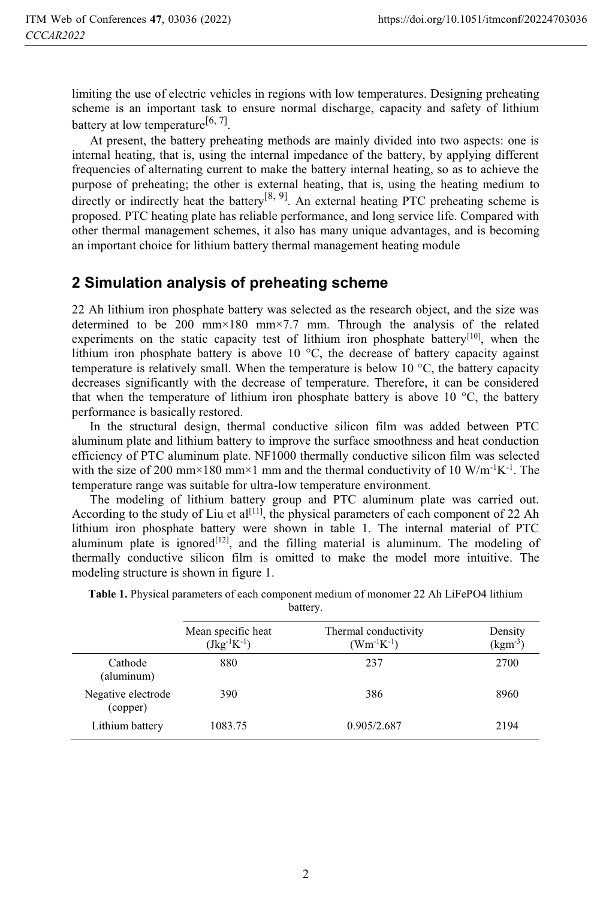limiting the use of electric vehicles in regions with low temperatures. Designing preheating scheme is an important task to ensure normal discharge, capacity and safety of lithium battery at low temperature<sup>[6, 7]</sup>.

At present, the battery preheating methods are mainly divided into two aspects: one is internal heating, that is, using the internal impedance of the battery, by applying different frequencies of alternating current to make the battery internal heating, so as to achieve the purpose of preheating; the other is external heating, that is, using the heating medium to directly or indirectly heat the battery<sup>[8, 9]</sup>. An external heating PTC preheating scheme is proposed. PTC heating plate has reliable performance, and long service life. Compared with other thermal management schemes, it also has many unique advantages, and is becoming an important choice for lithium battery thermal management heating module

# **2 Simulation analysis of preheating scheme**

22 Ah lithium iron phosphate battery was selected as the research object, and the size was determined to be 200 mm×180 mm×7.7 mm. Through the analysis of the related experiments on the static capacity test of lithium iron phosphate battery<sup>[10]</sup>, when the lithium iron phosphate battery is above 10 °C, the decrease of battery capacity against temperature is relatively small. When the temperature is below 10  $^{\circ}$ C, the battery capacity decreases significantly with the decrease of temperature. Therefore, it can be considered that when the temperature of lithium iron phosphate battery is above 10  $\degree$ C, the battery performance is basically restored.

In the structural design, thermal conductive silicon film was added between PTC aluminum plate and lithium battery to improve the surface smoothness and heat conduction efficiency of PTC aluminum plate. NF1000 thermally conductive silicon film was selected with the size of 200 mm×180 mm×1 mm and the thermal conductivity of 10 W/m<sup>-1</sup>K<sup>-1</sup>. The temperature range was suitable for ultra-low temperature environment.

The modeling of lithium battery group and PTC aluminum plate was carried out. According to the study of Liu et  $al^{[11]}$ , the physical parameters of each component of 22 Ah lithium iron phosphate battery were shown in table 1. The internal material of PTC aluminum plate is ignored $[12]$ , and the filling material is aluminum. The modeling of thermally conductive silicon film is omitted to make the model more intuitive. The modeling structure is shown in figure 1.

|                                | Mean specific heat<br>$(Jkg^{-1}K^{-1})$ | Thermal conductivity<br>$(Wm^{-1}K^{-1})$ | Density<br>$(kgm-3)$ |
|--------------------------------|------------------------------------------|-------------------------------------------|----------------------|
| Cathode<br>(aluminum)          | 880                                      | 237                                       | 2700                 |
| Negative electrode<br>(copper) | 390                                      | 386                                       | 8960                 |
| Lithium battery                | 1083.75                                  | 0.905/2.687                               | 2194                 |

**Table 1.** Physical parameters of each component medium of monomer 22 Ah LiFePO4 lithium battery.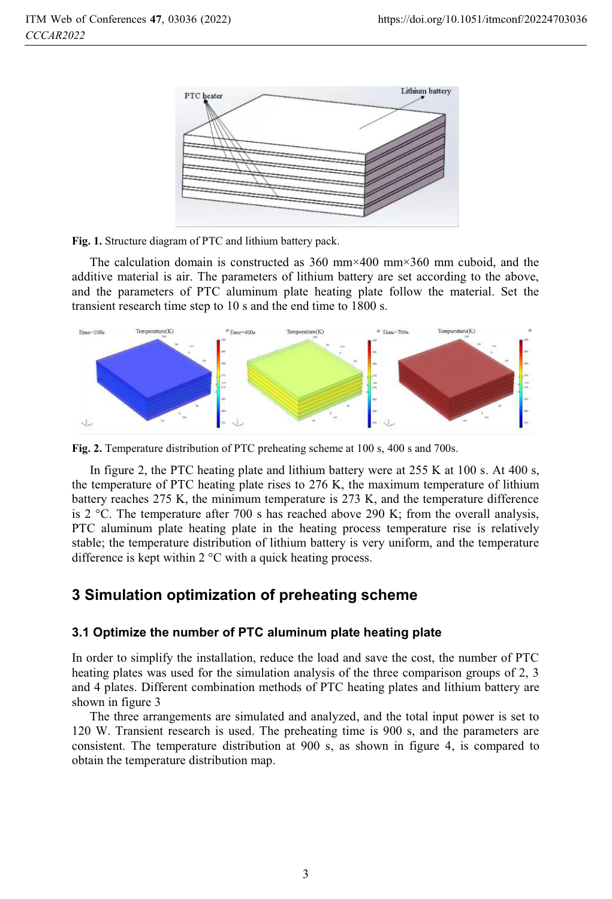

**Fig. 1.** Structure diagram of PTC and lithium battery pack.

The calculation domain is constructed as  $360 \text{ mm} \times 400 \text{ mm} \times 360 \text{ mm}$  cuboid, and the additive material is air. The parameters of lithium battery are set according to the above, and the parameters of PTC aluminum plate heating plate follow the material. Set the transient research time step to 10 s and the end time to 1800 s.



**Fig. 2.** Temperature distribution of PTC preheating scheme at 100 s, 400 s and 700s.

In figure 2, the PTC heating plate and lithium battery were at 255 K at 100 s. At 400 s, the temperature of PTC heating plate rises to 276 K, the maximum temperature of lithium battery reaches 275 K, the minimum temperature is 273 K, and the temperature difference is 2  $\degree$ C. The temperature after 700 s has reached above 290 K; from the overall analysis, PTC aluminum plate heating plate in the heating process temperature rise is relatively stable; the temperature distribution of lithium battery is very uniform, and the temperature difference is kept within 2 °C with a quick heating process.

# **3 Simulation optimization of preheating scheme**

#### **3.1 Optimize the number of PTC aluminum plate heating plate**

In order to simplify the installation, reduce the load and save the cost, the number of PTC heating plates was used for the simulation analysis of the three comparison groups of 2, 3 and 4 plates. Different combination methods of PTC heating plates and lithium battery are shown in figure 3

The three arrangements are simulated and analyzed, and the total input power is set to 120 W. Transient research is used. The preheating time is 900 s, and the parameters are consistent. The temperature distribution at 900 s, as shown in figure 4, is compared to obtain the temperature distribution map.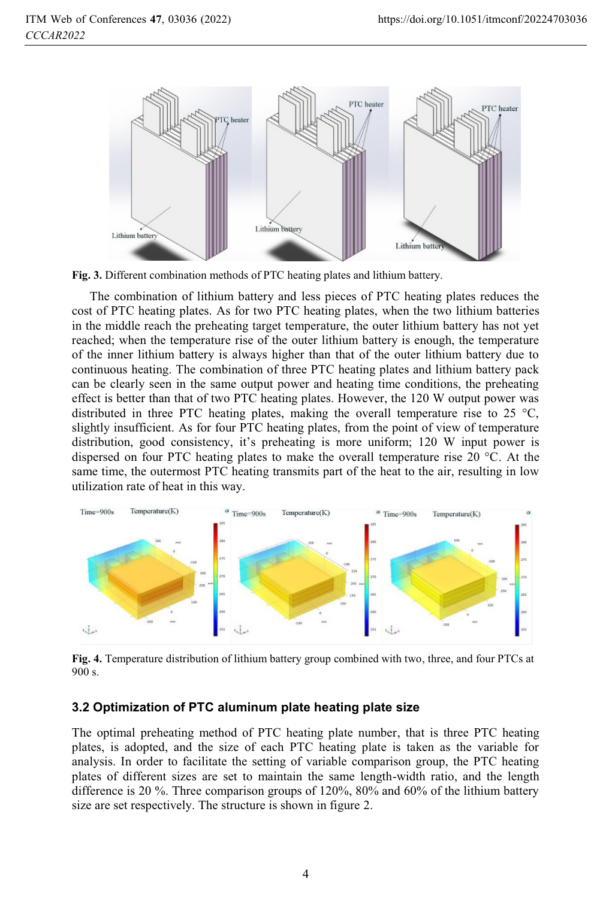

**Fig. 3.** Different combination methods of PTC heating plates and lithium battery.

The combination of lithium battery and less pieces of PTC heating plates reduces the cost of PTC heating plates. As for two PTC heating plates, when the two lithium batteries in the middle reach the preheating target temperature, the outer lithium battery has not yet reached; when the temperature rise of the outer lithium battery is enough, the temperature of the inner lithium battery is always higher than that of the outer lithium battery due to continuous heating. The combination of three PTC heating plates and lithium battery pack can be clearly seen in the same output power and heating time conditions, the preheating effect is better than that of two PTC heating plates. However, the 120 W output power was distributed in three PTC heating plates, making the overall temperature rise to 25  $\degree$ C, slightly insufficient. As for four PTC heating plates, from the point of view of temperature distribution, good consistency, it's preheating is more uniform; 120 W input power is dispersed on four PTC heating plates to make the overall temperature rise 20 °C. At the same time, the outermost PTC heating transmits part of the heat to the air, resulting in low utilization rate of heat in this way.



**Fig. 4.** Temperature distribution of lithium battery group combined with two, three, and four PTCs at 900 s.

#### **3.2 Optimization of PTC aluminum plate heating plate size**

The optimal preheating method of PTC heating plate number, that is three PTC heating plates, is adopted, and the size of each PTC heating plate is taken as the variable for analysis. In order to facilitate the setting of variable comparison group, the PTC heating plates of different sizes are set to maintain the same length-width ratio, and the length difference is 20 %. Three comparison groups of 120%, 80% and 60% of the lithium battery size are set respectively. The structure is shown in figure 2.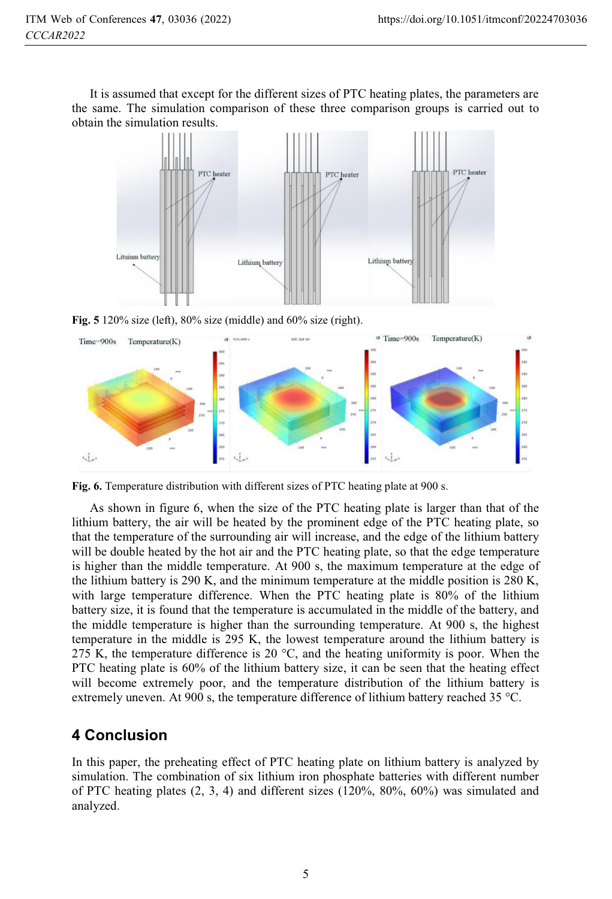It is assumed that except for the different sizes of PTC heating plates, the parameters are the same. The simulation comparison of these three comparison groups is carried out to obtain the simulation results.





**Fig. 6.** Temperature distribution with different sizes of PTC heating plate at 900 s.

As shown in figure 6, when the size of the PTC heating plate is larger than that of the lithium battery, the air will be heated by the prominent edge of the PTC heating plate, so that the temperature of the surrounding air will increase, and the edge of the lithium battery will be double heated by the hot air and the PTC heating plate, so that the edge temperature is higher than the middle temperature. At 900 s, the maximum temperature at the edge of the lithium battery is 290 K, and the minimum temperature at the middle position is 280 K, with large temperature difference. When the PTC heating plate is 80% of the lithium battery size, it is found that the temperature is accumulated in the middle of the battery, and the middle temperature is higher than the surrounding temperature. At 900 s, the highest temperature in the middle is 295 K, the lowest temperature around the lithium battery is 275 K, the temperature difference is 20  $^{\circ}$ C, and the heating uniformity is poor. When the PTC heating plate is 60% of the lithium battery size, it can be seen that the heating effect will become extremely poor, and the temperature distribution of the lithium battery is extremely uneven. At 900 s, the temperature difference of lithium battery reached 35 °C.

## **4 Conclusion**

In this paper, the preheating effect of PTC heating plate on lithium battery is analyzed by simulation. The combination of six lithium iron phosphate batteries with different number of PTC heating plates  $(2, 3, 4)$  and different sizes  $(120\%, 80\%, 60\%)$  was simulated and analyzed.